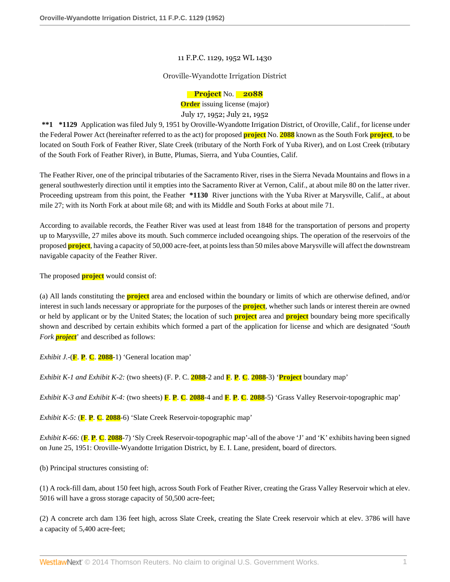## 11 F.P.C. 1129, 1952 WL 1430

## Oroville-Wyandotte Irrigation District

## **Project** No. **2088**

**Order** issuing license (major) July 17, 1952; July 21, 1952

**\*\*1 \*1129** Application was filed July 9, 1951 by Oroville-Wyandotte Irrigation District, of Oroville, Calif., for license under the Federal Power Act (hereinafter referred to as the act) for proposed **project** No. **2088** known as the South Fork **project**, to be located on South Fork of Feather River, Slate Creek (tributary of the North Fork of Yuba River), and on Lost Creek (tributary of the South Fork of Feather River), in Butte, Plumas, Sierra, and Yuba Counties, Calif.

The Feather River, one of the principal tributaries of the Sacramento River, rises in the Sierra Nevada Mountains and flows in a general southwesterly direction until it empties into the Sacramento River at Vernon, Calif., at about mile 80 on the latter river. Proceeding upstream from this point, the Feather **\*1130** River junctions with the Yuba River at Marysville, Calif., at about mile 27; with its North Fork at about mile 68; and with its Middle and South Forks at about mile 71.

According to available records, the Feather River was used at least from 1848 for the transportation of persons and property up to Marysville, 27 miles above its mouth. Such commerce included oceangoing ships. The operation of the reservoirs of the proposed **project**, having a capacity of 50,000 acre-feet, at points less than 50 miles above Marysville will affect the downstream navigable capacity of the Feather River.

The proposed **project** would consist of:

(a) All lands constituting the **project** area and enclosed within the boundary or limits of which are otherwise defined, and/or interest in such lands necessary or appropriate for the purposes of the **project**, whether such lands or interest therein are owned or held by applicant or by the United States; the location of such **project** area and **project** boundary being more specifically shown and described by certain exhibits which formed a part of the application for license and which are designated '*South Fork project*' and described as follows:

*Exhibit J.*-(**F**. **P**. **C**. **2088**-1) 'General location map'

*Exhibit K-1 and Exhibit K-2:* (two sheets) (F. P. C. **2088**-2 and **F**. **P**. **C**. **2088**-3) '**Project** boundary map'

*Exhibit K-3 and Exhibit K-4:* (two sheets) **F**. **P**. **C**. **2088**-4 and **F**. **P**. **C**. **2088**-5) 'Grass Valley Reservoir-topographic map'

*Exhibit K-5:* (**F**. **P**. **C**. **2088**-6) 'Slate Creek Reservoir-topographic map'

*Exhibit K-66:* (**F**. **P**. **C**. **2088**-7) 'Sly Creek Reservoir-topographic map'-all of the above 'J' and 'K' exhibits having been signed on June 25, 1951: Oroville-Wyandotte Irrigation District, by E. I. Lane, president, board of directors.

(b) Principal structures consisting of:

(1) A rock-fill dam, about 150 feet high, across South Fork of Feather River, creating the Grass Valley Reservoir which at elev. 5016 will have a gross storage capacity of 50,500 acre-feet;

(2) A concrete arch dam 136 feet high, across Slate Creek, creating the Slate Creek reservoir which at elev. 3786 will have a capacity of 5,400 acre-feet;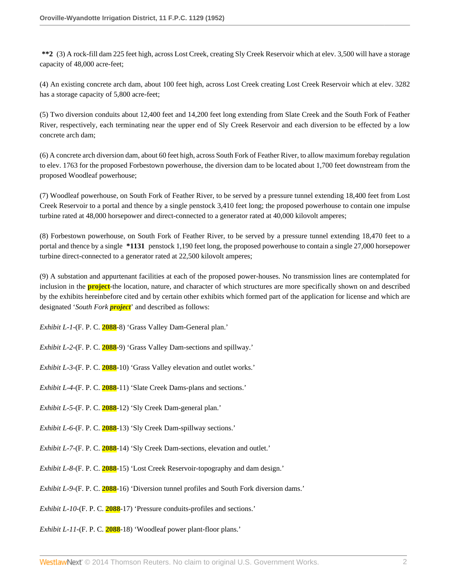**\*\*2** (3) A rock-fill dam 225 feet high, across Lost Creek, creating Sly Creek Reservoir which at elev. 3,500 will have a storage capacity of 48,000 acre-feet;

(4) An existing concrete arch dam, about 100 feet high, across Lost Creek creating Lost Creek Reservoir which at elev. 3282 has a storage capacity of 5,800 acre-feet;

(5) Two diversion conduits about 12,400 feet and 14,200 feet long extending from Slate Creek and the South Fork of Feather River, respectively, each terminating near the upper end of Sly Creek Reservoir and each diversion to be effected by a low concrete arch dam;

(6) A concrete arch diversion dam, about 60 feet high, across South Fork of Feather River, to allow maximum forebay regulation to elev. 1763 for the proposed Forbestown powerhouse, the diversion dam to be located about 1,700 feet downstream from the proposed Woodleaf powerhouse;

(7) Woodleaf powerhouse, on South Fork of Feather River, to be served by a pressure tunnel extending 18,400 feet from Lost Creek Reservoir to a portal and thence by a single penstock 3,410 feet long; the proposed powerhouse to contain one impulse turbine rated at 48,000 horsepower and direct-connected to a generator rated at 40,000 kilovolt amperes;

(8) Forbestown powerhouse, on South Fork of Feather River, to be served by a pressure tunnel extending 18,470 feet to a portal and thence by a single **\*1131** penstock 1,190 feet long, the proposed powerhouse to contain a single 27,000 horsepower turbine direct-connected to a generator rated at 22,500 kilovolt amperes;

(9) A substation and appurtenant facilities at each of the proposed power-houses. No transmission lines are contemplated for inclusion in the **project**-the location, nature, and character of which structures are more specifically shown on and described by the exhibits hereinbefore cited and by certain other exhibits which formed part of the application for license and which are designated '*South Fork project*' and described as follows:

*Exhibit L-1*-(F. P. C. **2088**-8) 'Grass Valley Dam-General plan.'

*Exhibit L-2*-(F. P. C. **2088**-9) 'Grass Valley Dam-sections and spillway.'

*Exhibit L-3*-(F. P. C. **2088**-10) 'Grass Valley elevation and outlet works.'

*Exhibit L-4*-(F. P. C. **2088**-11) 'Slate Creek Dams-plans and sections.'

*Exhibit L-5*-(F. P. C. **2088**-12) 'Sly Creek Dam-general plan.'

*Exhibit L-6*-(F. P. C. **2088**-13) 'Sly Creek Dam-spillway sections.'

*Exhibit L-7*-(F. P. C. **2088**-14) 'Sly Creek Dam-sections, elevation and outlet.'

*Exhibit L-8*-(F. P. C. **2088**-15) 'Lost Creek Reservoir-topography and dam design.'

*Exhibit L-9*-(F. P. C. **2088**-16) 'Diversion tunnel profiles and South Fork diversion dams.'

*Exhibit L-10*-(F. P. C. **2088**-17) 'Pressure conduits-profiles and sections.'

*Exhibit L-11*-(F. P. C. **2088**-18) 'Woodleaf power plant-floor plans.'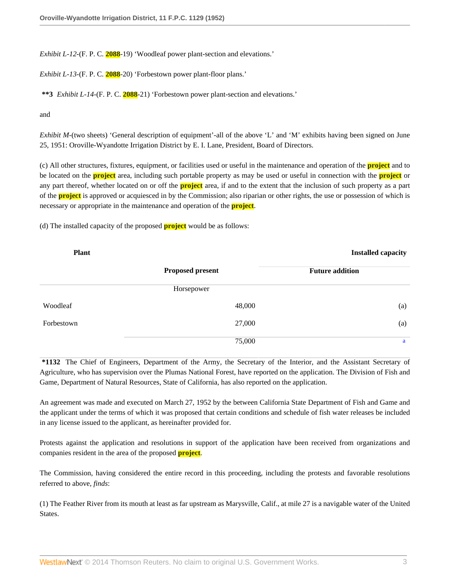*Exhibit L-12*-(F. P. C. **2088**-19) 'Woodleaf power plant-section and elevations.'

*Exhibit L-13*-(F. P. C. **2088**-20) 'Forbestown power plant-floor plans.'

**\*\*3** *Exhibit L-14*-(F. P. C. **2088**-21) 'Forbestown power plant-section and elevations.'

and

*Exhibit M*-(two sheets) 'General description of equipment'-all of the above 'L' and 'M' exhibits having been signed on June 25, 1951: Oroville-Wyandotte Irrigation District by E. I. Lane, President, Board of Directors.

(c) All other structures, fixtures, equipment, or facilities used or useful in the maintenance and operation of the **project** and to be located on the **project** area, including such portable property as may be used or useful in connection with the **project** or any part thereof, whether located on or off the **project** area, if and to the extent that the inclusion of such property as a part of the **project** is approved or acquiesced in by the Commission; also riparian or other rights, the use or possession of which is necessary or appropriate in the maintenance and operation of the **project**.

(d) The installed capacity of the proposed **project** would be as follows:

| <b>Plant</b> |                         | <b>Installed capacity</b> |
|--------------|-------------------------|---------------------------|
|              | <b>Proposed present</b> | <b>Future addition</b>    |
|              | Horsepower              |                           |
| Woodleaf     | 48,000                  | (a)                       |
| Forbestown   | 27,000                  | (a)                       |
|              | 75,000                  | a                         |

<span id="page-2-0"></span>**\*1132** The Chief of Engineers, Department of the Army, the Secretary of the Interior, and the Assistant Secretary of Agriculture, who has supervision over the Plumas National Forest, have reported on the application. The Division of Fish and Game, Department of Natural Resources, State of California, has also reported on the application.

An agreement was made and executed on March 27, 1952 by the between California State Department of Fish and Game and the applicant under the terms of which it was proposed that certain conditions and schedule of fish water releases be included in any license issued to the applicant, as hereinafter provided for.

Protests against the application and resolutions in support of the application have been received from organizations and companies resident in the area of the proposed **project**.

The Commission, having considered the entire record in this proceeding, including the protests and favorable resolutions referred to above, *finds*:

(1) The Feather River from its mouth at least as far upstream as Marysville, Calif., at mile 27 is a navigable water of the United States.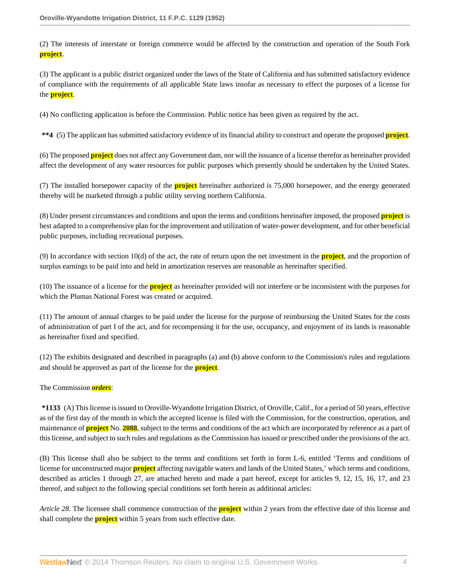(2) The interests of interstate or foreign commerce would be affected by the construction and operation of the South Fork **project**.

(3) The applicant is a public district organized under the laws of the State of California and has submitted satisfactory evidence of compliance with the requirements of all applicable State laws insofar as necessary to effect the purposes of a license for the **project**.

(4) No conflicting application is before the Commission. Public notice has been given as required by the act.

**\*\*4** (5) The applicant has submitted satisfactory evidence of its financial ability to construct and operate the proposed **project**.

(6) The proposed **project** does not affect any Government dam, nor will the issuance of a license therefor as hereinafter provided affect the development of any water resources for public purposes which presently should be undertaken by the United States.

(7) The installed horsepower capacity of the **project** hereinafter authorized is 75,000 horsepower, and the energy generated thereby will be marketed through a public utility serving northern California.

(8) Under present circumstances and conditions and upon the terms and conditions hereinafter imposed, the proposed **project** is best adapted to a comprehensive plan for the improvement and utilization of water-power development, and for other beneficial public purposes, including recreational purposes.

(9) In accordance with section 10(d) of the act, the rate of return upon the net investment in the **project**, and the proportion of surplus earnings to be paid into and held in amortization reserves are reasonable as hereinafter specified.

(10) The issuance of a license for the **project** as hereinafter provided will not interfere or be inconsistent with the purposes for which the Plumas National Forest was created or acquired.

(11) The amount of annual charges to be paid under the license for the purpose of reimbursing the United States for the costs of administration of part I of the act, and for recompensing it for the use, occupancy, and enjoyment of its lands is reasonable as hereinafter fixed and specified.

(12) The exhibits designated and described in paragraphs (a) and (b) above conform to the Commission's rules and regulations and should be approved as part of the license for the **project**.

The Commission *orders*:

**\*1133** (A) This license is issued to Oroville-Wyandotte Irrigation District, of Oroville, Calif., for a period of 50 years, effective as of the first day of the month in which the accepted license is filed with the Commission, for the construction, operation, and maintenance of **project** No. **2088**, subject to the terms and conditions of the act which are incorporated by reference as a part of this license, and subject to such rules and regulations as the Commission has issued or prescribed under the provisions of the act.

(B) This license shall also be subject to the terms and conditions set forth in form L-6, entitled 'Terms and conditions of license for unconstructed major **project** affecting navigable waters and lands of the United States,' which terms and conditions, described as articles 1 through 27, are attached hereto and made a part hereof, except for articles 9, 12, 15, 16, 17, and 23 thereof, and subject to the following special conditions set forth herein as additional articles:

*Article 28*. The licensee shall commence construction of the **project** within 2 years from the effective date of this license and shall complete the **project** within 5 years from such effective date.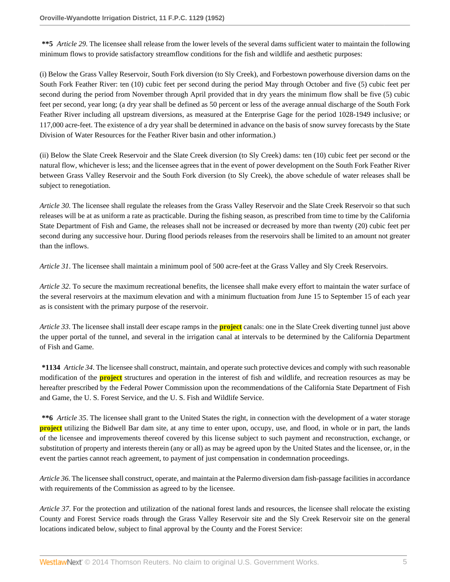**\*\*5** *Article 29*. The licensee shall release from the lower levels of the several dams sufficient water to maintain the following minimum flows to provide satisfactory streamflow conditions for the fish and wildlife and aesthetic purposes:

(i) Below the Grass Valley Reservoir, South Fork diversion (to Sly Creek), and Forbestown powerhouse diversion dams on the South Fork Feather River: ten (10) cubic feet per second during the period May through October and five (5) cubic feet per second during the period from November through April provided that in dry years the minimum flow shall be five (5) cubic feet per second, year long; (a dry year shall be defined as 50 percent or less of the average annual discharge of the South Fork Feather River including all upstream diversions, as measured at the Enterprise Gage for the period 1028-1949 inclusive; or 117,000 acre-feet. The existence of a dry year shall be determined in advance on the basis of snow survey forecasts by the State Division of Water Resources for the Feather River basin and other information.)

(ii) Below the Slate Creek Reservoir and the Slate Creek diversion (to Sly Creek) dams: ten (10) cubic feet per second or the natural flow, whichever is less; and the licensee agrees that in the event of power development on the South Fork Feather River between Grass Valley Reservoir and the South Fork diversion (to Sly Creek), the above schedule of water releases shall be subject to renegotiation.

*Article 30*. The licensee shall regulate the releases from the Grass Valley Reservoir and the Slate Creek Reservoir so that such releases will be at as uniform a rate as practicable. During the fishing season, as prescribed from time to time by the California State Department of Fish and Game, the releases shall not be increased or decreased by more than twenty (20) cubic feet per second during any successive hour. During flood periods releases from the reservoirs shall be limited to an amount not greater than the inflows.

*Article 31*. The licensee shall maintain a minimum pool of 500 acre-feet at the Grass Valley and Sly Creek Reservoirs.

*Article 32*. To secure the maximum recreational benefits, the licensee shall make every effort to maintain the water surface of the several reservoirs at the maximum elevation and with a minimum fluctuation from June 15 to September 15 of each year as is consistent with the primary purpose of the reservoir.

*Article 33*. The licensee shall install deer escape ramps in the **project** canals: one in the Slate Creek diverting tunnel just above the upper portal of the tunnel, and several in the irrigation canal at intervals to be determined by the California Department of Fish and Game.

**\*1134** *Article 34*. The licensee shall construct, maintain, and operate such protective devices and comply with such reasonable modification of the **project** structures and operation in the interest of fish and wildlife, and recreation resources as may be hereafter prescribed by the Federal Power Commission upon the recommendations of the California State Department of Fish and Game, the U. S. Forest Service, and the U. S. Fish and Wildlife Service.

**\*\*6** *Article 35*. The licensee shall grant to the United States the right, in connection with the development of a water storage **project** utilizing the Bidwell Bar dam site, at any time to enter upon, occupy, use, and flood, in whole or in part, the lands of the licensee and improvements thereof covered by this license subject to such payment and reconstruction, exchange, or substitution of property and interests therein (any or all) as may be agreed upon by the United States and the licensee, or, in the event the parties cannot reach agreement, to payment of just compensation in condemnation proceedings.

*Article 36*. The licensee shall construct, operate, and maintain at the Palermo diversion dam fish-passage facilities in accordance with requirements of the Commission as agreed to by the licensee.

*Article 37*. For the protection and utilization of the national forest lands and resources, the licensee shall relocate the existing County and Forest Service roads through the Grass Valley Reservoir site and the Sly Creek Reservoir site on the general locations indicated below, subject to final approval by the County and the Forest Service: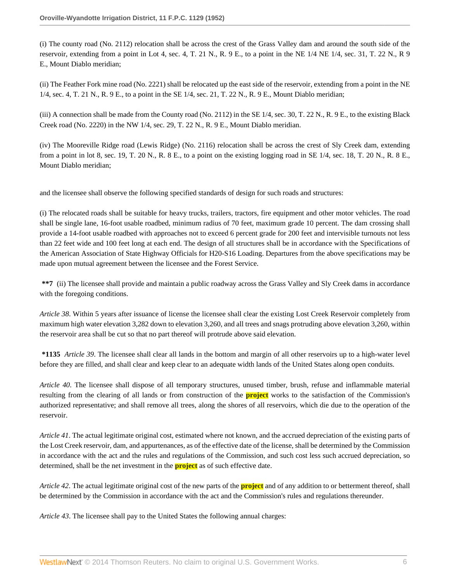(i) The county road (No. 2112) relocation shall be across the crest of the Grass Valley dam and around the south side of the reservoir, extending from a point in Lot 4, sec. 4, T. 21 N., R. 9 E., to a point in the NE 1/4 NE 1/4, sec. 31, T. 22 N., R 9 E., Mount Diablo meridian;

(ii) The Feather Fork mine road (No. 2221) shall be relocated up the east side of the reservoir, extending from a point in the NE 1/4, sec. 4, T. 21 N., R. 9 E., to a point in the SE 1/4, sec. 21, T. 22 N., R. 9 E., Mount Diablo meridian;

(iii) A connection shall be made from the County road (No. 2112) in the SE 1/4, sec. 30, T. 22 N., R. 9 E., to the existing Black Creek road (No. 2220) in the NW 1/4, sec. 29, T. 22 N., R. 9 E., Mount Diablo meridian.

(iv) The Mooreville Ridge road (Lewis Ridge) (No. 2116) relocation shall be across the crest of Sly Creek dam, extending from a point in lot 8, sec. 19, T. 20 N., R. 8 E., to a point on the existing logging road in SE 1/4, sec. 18, T. 20 N., R. 8 E., Mount Diablo meridian;

and the licensee shall observe the following specified standards of design for such roads and structures:

(i) The relocated roads shall be suitable for heavy trucks, trailers, tractors, fire equipment and other motor vehicles. The road shall be single lane, 16-foot usable roadbed, minimum radius of 70 feet, maximum grade 10 percent. The dam crossing shall provide a 14-foot usable roadbed with approaches not to exceed 6 percent grade for 200 feet and intervisible turnouts not less than 22 feet wide and 100 feet long at each end. The design of all structures shall be in accordance with the Specifications of the American Association of State Highway Officials for H20-S16 Loading. Departures from the above specifications may be made upon mutual agreement between the licensee and the Forest Service.

**\*\*7** (ii) The licensee shall provide and maintain a public roadway across the Grass Valley and Sly Creek dams in accordance with the foregoing conditions.

*Article 38*. Within 5 years after issuance of license the licensee shall clear the existing Lost Creek Reservoir completely from maximum high water elevation 3,282 down to elevation 3,260, and all trees and snags protruding above elevation 3,260, within the reservoir area shall be cut so that no part thereof will protrude above said elevation.

**\*1135** *Article 39*. The licensee shall clear all lands in the bottom and margin of all other reservoirs up to a high-water level before they are filled, and shall clear and keep clear to an adequate width lands of the United States along open conduits.

*Article 40*. The licensee shall dispose of all temporary structures, unused timber, brush, refuse and inflammable material resulting from the clearing of all lands or from construction of the **project** works to the satisfaction of the Commission's authorized representative; and shall remove all trees, along the shores of all reservoirs, which die due to the operation of the reservoir.

*Article 41*. The actual legitimate original cost, estimated where not known, and the accrued depreciation of the existing parts of the Lost Creek reservoir, dam, and appurtenances, as of the effective date of the license, shall be determined by the Commission in accordance with the act and the rules and regulations of the Commission, and such cost less such accrued depreciation, so determined, shall be the net investment in the **project** as of such effective date.

*Article 42*. The actual legitimate original cost of the new parts of the **project** and of any addition to or betterment thereof, shall be determined by the Commission in accordance with the act and the Commission's rules and regulations thereunder.

*Article 43*. The licensee shall pay to the United States the following annual charges: